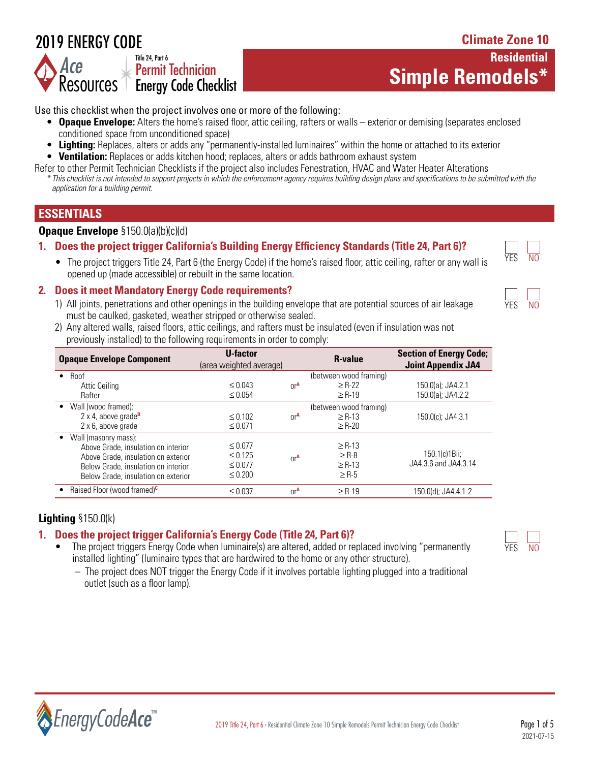# 2019 ENERGY CODE

#### **Simple Remodels\*** *Ace* Resources T Energy Code Checklist Title 24, Part 6  $\perp$  Permit Technician

# **Residential**

**Climate Zone 10**

Use this checklist when the project involves one or more of the following:

- **Opaque Envelope:** Alters the home's raised floor, attic ceiling, rafters or walls exterior or demising (separates enclosed conditioned space from unconditioned space)
- **Lighting:** Replaces, alters or adds any "permanently-installed luminaires" within the home or attached to its exterior
- **Ventilation:** Replaces or adds kitchen hood; replaces, alters or adds bathroom exhaust system
- Refer to other Permit Technician Checklists if the project also includes Fenestration, HVAC and Water Heater Alterations *\* This checklist is not intended to support projects in which the enforcement agency requires building design plans and specifications to be submitted with the application for a building permit.*

# **ESSENTIALS**

## **Opaque Envelope** §150.0(a)(b)(c)(d)

# **1. Does the project trigger California's Building Energy Efficiency Standards (Title 24, Part 6)?**

• The project triggers Title 24, Part 6 (the Energy Code) if the home's raised floor, attic ceiling, rafter or any wall is opened up (made accessible) or rebuilt in the same location.

## **2. Does it meet Mandatory Energy Code requirements?**

- 1) All joints, penetrations and other openings in the building envelope that are potential sources of air leakage must be caulked, gasketed, weather stripped or otherwise sealed.
- 2) Any altered walls, raised floors, attic ceilings, and rafters must be insulated (even if insulation was not previously installed) to the following requirements in order to comply:

| <b>Opaque Envelope Component</b>                                                                                                                                                 | U-factor<br>(area weighted average)                          |                 | <b>R-value</b>                                       | <b>Section of Energy Code;</b><br><b>Joint Appendix JA4</b> |
|----------------------------------------------------------------------------------------------------------------------------------------------------------------------------------|--------------------------------------------------------------|-----------------|------------------------------------------------------|-------------------------------------------------------------|
| Roof<br>$\bullet$<br>Attic Ceiling<br>Rafter                                                                                                                                     | $\leq 0.043$<br>$\leq 0.054$                                 | 0r <sup>A</sup> | (between wood framing)<br>$\geq$ R-22<br>$\geq$ R-19 | 150.0(a): JA4.2.1<br>150.0(a); JA4.2.2                      |
| Wall (wood framed):<br>2 x 4, above grade <sup>B</sup><br>2 x 6, above grade                                                                                                     | $\leq 0.102$<br>$\leq 0.071$                                 | 0r <sup>A</sup> | (between wood framing)<br>$\ge$ R-13<br>$\geq$ R-20  | 150.0(c); JA4.3.1                                           |
| Wall (masonry mass):<br>Above Grade, insulation on interior<br>Above Grade, insulation on exterior<br>Below Grade, insulation on interior<br>Below Grade, insulation on exterior | $\leq 0.077$<br>$\leq 0.125$<br>$\leq 0.077$<br>$\leq 0.200$ | 0r <sup>A</sup> | $\ge$ R-13<br>$\geq$ R-8<br>$\ge$ R-13<br>$\geq$ R-5 | 150.1(c) 1 Bii;<br>JA4.3.6 and JA4.3.14                     |
| Raised Floor (wood framed) <sup>c</sup>                                                                                                                                          | $\leq 0.037$                                                 | 0r <sup>A</sup> | $\geq$ R-19                                          | 150.0(d); JA4.4.1-2                                         |

# **Lighting** §150.0(k)

# **1. Does the project trigger California's Energy Code (Title 24, Part 6)?**

- The project triggers Energy Code when luminaire(s) are altered, added or replaced involving "permanently installed lighting" (luminaire types that are hardwired to the home or any other structure).
	- The project does NOT trigger the Energy Code if it involves portable lighting plugged into a traditional outlet (such as a floor lamp).





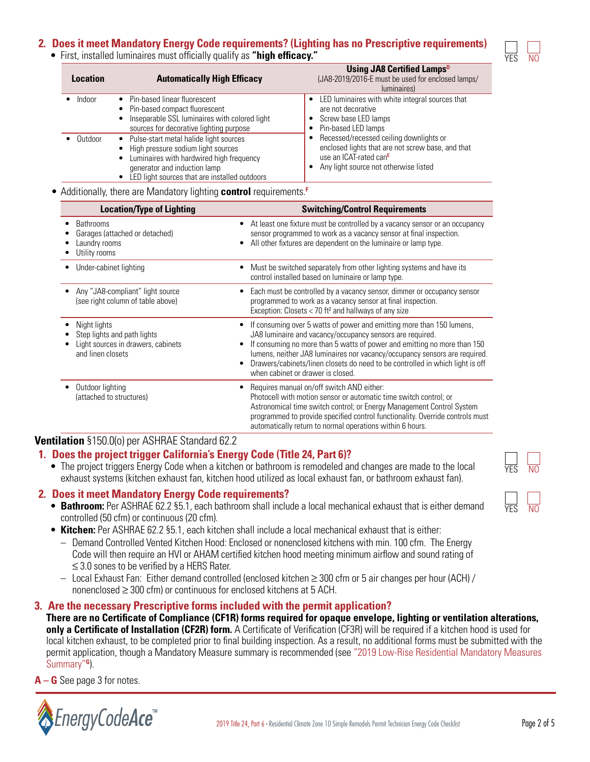# **2. Does it meet Mandatory Energy Code requirements? (Lighting has no Prescriptive requirements)**

• First, installed luminaires must officially qualify as **"high efficacy."**

| <b>Location</b> | <b>Automatically High Efficacy</b>                                                                                                                                                                          | <b>Using JA8 Certified Lamps</b> <sup>D</sup><br>(JA8-2019/2016-E must be used for enclosed lamps/<br>luminaires)                                                           |  |
|-----------------|-------------------------------------------------------------------------------------------------------------------------------------------------------------------------------------------------------------|-----------------------------------------------------------------------------------------------------------------------------------------------------------------------------|--|
| Indoor          | • Pin-based linear fluorescent<br>• Pin-based compact fluorescent<br>Inseparable SSL luminaires with colored light<br>sources for decorative lighting purpose                                               | • LED luminaires with white integral sources that<br>are not decorative<br>• Screw base LED lamps<br>Pin-based LED lamps                                                    |  |
| Outdoor         | • Pulse-start metal halide light sources<br>High pressure sodium light sources<br>Luminaires with hardwired high frequency<br>generator and induction lamp<br>LED light sources that are installed outdoors | Recessed/recessed ceiling downlights or<br>enclosed lights that are not screw base, and that<br>use an ICAT-rated can <sup>E</sup><br>Any light source not otherwise listed |  |

• Additionally, there are Mandatory lighting **control** requirements.**<sup>F</sup>**

| <b>Location/Type of Lighting</b>                                                                       | <b>Switching/Control Requirements</b>                                                                                                                                                                                                                                                                                                                                                                              |
|--------------------------------------------------------------------------------------------------------|--------------------------------------------------------------------------------------------------------------------------------------------------------------------------------------------------------------------------------------------------------------------------------------------------------------------------------------------------------------------------------------------------------------------|
| <b>Bathrooms</b><br>Garages (attached or detached)<br>Laundry rooms<br>Utility rooms                   | At least one fixture must be controlled by a vacancy sensor or an occupancy<br>sensor programmed to work as a vacancy sensor at final inspection.<br>All other fixtures are dependent on the luminaire or lamp type.                                                                                                                                                                                               |
| Under-cabinet lighting                                                                                 | Must be switched separately from other lighting systems and have its<br>control installed based on luminaire or lamp type.                                                                                                                                                                                                                                                                                         |
| Any "JA8-compliant" light source<br>(see right column of table above)                                  | Each must be controlled by a vacancy sensor, dimmer or occupancy sensor<br>programmed to work as a vacancy sensor at final inspection.<br>Exception: Closets $<$ 70 ft <sup>2</sup> and hallways of any size                                                                                                                                                                                                       |
| Night lights<br>Step lights and path lights<br>Light sources in drawers, cabinets<br>and linen closets | If consuming over 5 watts of power and emitting more than 150 lumens,<br>JA8 luminaire and vacancy/occupancy sensors are required.<br>If consuming no more than 5 watts of power and emitting no more than 150<br>lumens, neither JA8 luminaires nor vacancy/occupancy sensors are required.<br>Drawers/cabinets/linen closets do need to be controlled in which light is off<br>when cabinet or drawer is closed. |
| Outdoor lighting<br>(attached to structures)                                                           | Requires manual on/off switch AND either:<br>Photocell with motion sensor or automatic time switch control; or<br>Astronomical time switch control; or Energy Management Control System<br>programmed to provide specified control functionality. Override controls must<br>automatically return to normal operations within 6 hours.                                                                              |

# **Ventilation** §150.0(o) per ASHRAE Standard 62.2

# **1. Does the project trigger California's Energy Code (Title 24, Part 6)?**

• The project triggers Energy Code when a kitchen or bathroom is remodeled and changes are made to the local exhaust systems (kitchen exhaust fan, kitchen hood utilized as local exhaust fan, or bathroom exhaust fan).

# **2. Does it meet Mandatory Energy Code requirements?**

- **Bathroom:** Per ASHRAE 62.2 §5.1, each bathroom shall include a local mechanical exhaust that is either demand controlled (50 cfm) or continuous (20 cfm).
- **Kitchen:** Per ASHRAE 62.2 §5.1, each kitchen shall include a local mechanical exhaust that is either:
	- Demand Controlled Vented Kitchen Hood: Enclosed or nonenclosed kitchens with min. 100 cfm. The Energy Code will then require an HVI or AHAM certified kitchen hood meeting minimum airflow and sound rating of ≤ 3.0 sones to be verified by a HERS Rater.
	- Local Exhaust Fan: Either demand controlled (enclosed kitchen ≥ 300 cfm or 5 air changes per hour (ACH) / nonenclosed ≥ 300 cfm) or continuous for enclosed kitchens at 5 ACH.

# **3. Are the necessary Prescriptive forms included with the permit application?**

**There are no Certificate of Compliance (CF1R) forms required for opaque envelope, lighting or ventilation alterations, only a Certificate of Installation (CF2R) form.** A Certificate of Verification (CF3R) will be required if a kitchen hood is used for local kitchen exhaust, to be completed prior to final building inspection. As a result, no additional forms must be submitted with the permit application, though a Mandatory Measure summary is recommended (see "2019 Low-Rise Residential Mandatory Measures Summary"**G**).

**A – G** See page 3 for notes.



YES NO

YES NO

YES NO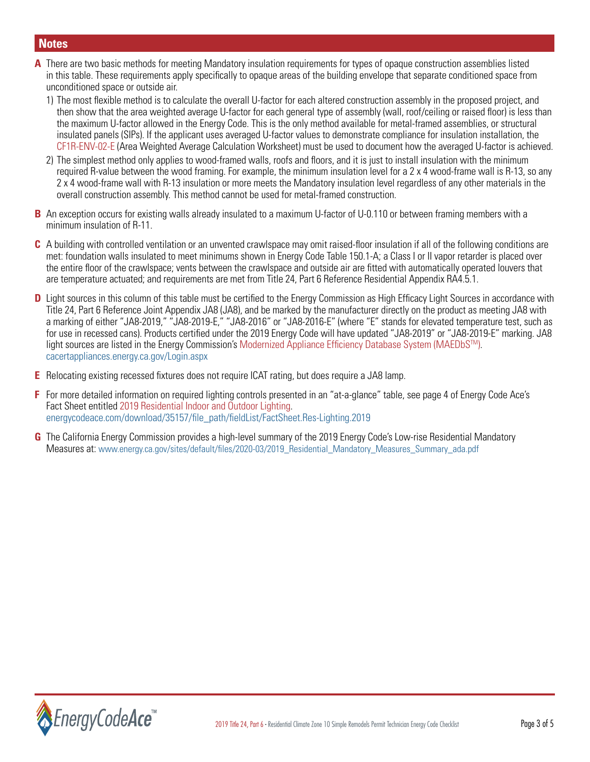# **Notes**

- **A** There are two basic methods for meeting Mandatory insulation requirements for types of opaque construction assemblies listed in this table. These requirements apply specifically to opaque areas of the building envelope that separate conditioned space from unconditioned space or outside air.
	- 1) The most flexible method is to calculate the overall U-factor for each altered construction assembly in the proposed project, and then show that the area weighted average U-factor for each general type of assembly (wall, roof/ceiling or raised floor) is less than the maximum U-factor allowed in the Energy Code. This is the only method available for metal-framed assemblies, or structural insulated panels (SIPs). If the applicant uses averaged U-factor values to demonstrate compliance for insulation installation, the CF1R-ENV-02-E (Area Weighted Average Calculation Worksheet) must be used to document how the averaged U-factor is achieved.
	- 2) The simplest method only applies to wood-framed walls, roofs and floors, and it is just to install insulation with the minimum required R-value between the wood framing. For example, the minimum insulation level for a 2 x 4 wood-frame wall is R-13, so any 2 x 4 wood-frame wall with R-13 insulation or more meets the Mandatory insulation level regardless of any other materials in the overall construction assembly. This method cannot be used for metal-framed construction.
- **B** An exception occurs for existing walls already insulated to a maximum U-factor of U-0.110 or between framing members with a minimum insulation of R-11.
- **C** A building with controlled ventilation or an unvented crawlspace may omit raised-floor insulation if all of the following conditions are met: foundation walls insulated to meet minimums shown in Energy Code Table 150.1-A; a Class I or II vapor retarder is placed over the entire floor of the crawlspace; vents between the crawlspace and outside air are fitted with automatically operated louvers that are temperature actuated; and requirements are met from Title 24, Part 6 Reference Residential Appendix RA4.5.1.
- **D** Light sources in this column of this table must be certified to the Energy Commission as High Efficacy Light Sources in accordance with Title 24, Part 6 Reference Joint Appendix JA8 (JA8), and be marked by the manufacturer directly on the product as meeting JA8 with a marking of either "JA8-2019," "JA8-2019-E," "JA8-2016" or "JA8-2016-E" (where "E" stands for elevated temperature test, such as for use in recessed cans). Products certified under the 2019 Energy Code will have updated "JA8-2019" or "JA8-2019-E" marking. JA8 light sources are listed in the Energy Commission's Modernized Appliance Efficiency Database System (MAEDbSTM). [cacertappliances.energy.ca.gov/Login.aspx](https://cacertappliances.energy.ca.gov/Login.aspx)
- **E** Relocating existing recessed fixtures does not require ICAT rating, but does require a JA8 lamp.
- **F** For more detailed information on required lighting controls presented in an "at-a-glance" table, see page 4 of Energy Code Ace's Fact Sheet entitled 2019 Residential Indoor and Outdoor Lighting. [energycodeace.com/download/35157/file\\_path/fieldList/FactSheet.Res-Lighting.2019](http://energycodeace.com/download/35157/file_path/fieldList/FactSheet.Res-Lighting.2019)
- **G** The California Energy Commission provides a high-level summary of the 2019 Energy Code's Low-rise Residential Mandatory Measures at: [www.energy.ca.gov/sites/default/files/2020-03/2019\\_Residential\\_Mandatory\\_Measures\\_Summary\\_ada.pdf](https://www.energy.ca.gov/sites/default/files/2020-03/2019_Residential_Mandatory_Measures_Summary_ada.pdf)

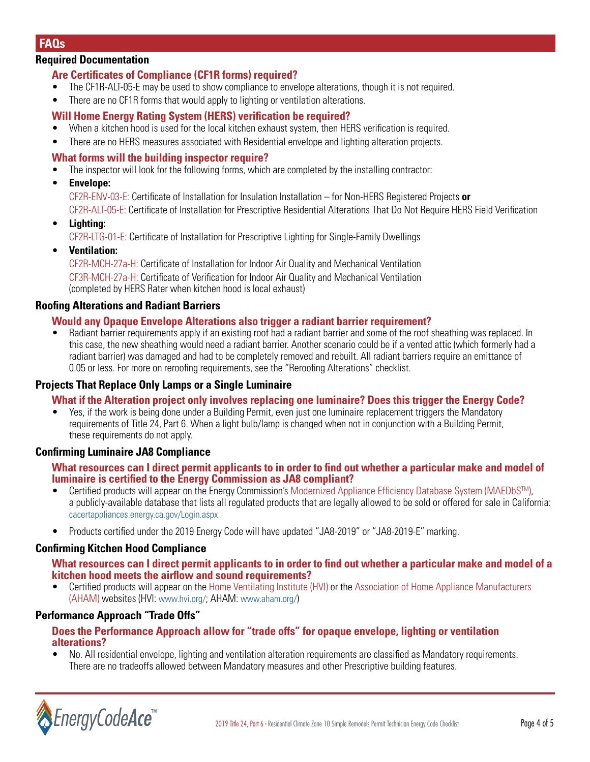# **FAQs**

# **Required Documentation**

# **Are Certificates of Compliance (CF1R forms) required?**

- The CF1R-ALT-05-E may be used to show compliance to envelope alterations, though it is not required.
- There are no CF1R forms that would apply to lighting or ventilation alterations.

# **Will Home Energy Rating System (HERS) verification be required?**

- When a kitchen hood is used for the local kitchen exhaust system, then HERS verification is required.
- There are no HERS measures associated with Residential envelope and lighting alteration projects.

#### **What forms will the building inspector require?**

• The inspector will look for the following forms, which are completed by the installing contractor:

#### • **Envelope:**

 CF2R-ENV-03-E: Certificate of Installation for Insulation Installation – for Non-HERS Registered Projects **or** CF2R-ALT-05-E: Certificate of Installation for Prescriptive Residential Alterations That Do Not Require HERS Field Verification

• **Lighting:**

CF2R-LTG-01-E: Certificate of Installation for Prescriptive Lighting for Single-Family Dwellings

• **Ventilation:**

 CF2R-MCH-27a-H: Certificate of Installation for Indoor Air Quality and Mechanical Ventilation CF3R-MCH-27a-H: Certificate of Verification for Indoor Air Quality and Mechanical Ventilation (completed by HERS Rater when kitchen hood is local exhaust)

## **Roofing Alterations and Radiant Barriers**

#### **Would any Opaque Envelope Alterations also trigger a radiant barrier requirement?**

• Radiant barrier requirements apply if an existing roof had a radiant barrier and some of the roof sheathing was replaced. In this case, the new sheathing would need a radiant barrier. Another scenario could be if a vented attic (which formerly had a radiant barrier) was damaged and had to be completely removed and rebuilt. All radiant barriers require an emittance of 0.05 or less. For more on reroofing requirements, see the "Reroofing Alterations" checklist.

# **Projects That Replace Only Lamps or a Single Luminaire**

#### **What if the Alteration project only involves replacing one luminaire? Does this trigger the Energy Code?**

• Yes, if the work is being done under a Building Permit, even just one luminaire replacement triggers the Mandatory requirements of Title 24, Part 6. When a light bulb/lamp is changed when not in conjunction with a Building Permit, these requirements do not apply.

#### **Confirming Luminaire JA8 Compliance**

#### **What resources can I direct permit applicants to in order to find out whether a particular make and model of luminaire is certified to the Energy Commission as JA8 compliant?**

- Certified products will appear on the Energy Commission's Modernized Appliance Efficiency Database System (MAEDbSTM), a publicly-available database that lists all regulated products that are legally allowed to be sold or offered for sale in California: [cacertappliances.energy.ca.gov/Login.aspx](https://cacertappliances.energy.ca.gov/Login.aspx)
- Products certified under the 2019 Energy Code will have updated "JA8-2019" or "JA8-2019-E" marking.

#### **Confirming Kitchen Hood Compliance**

#### **What resources can I direct permit applicants to in order to find out whether a particular make and model of a kitchen hood meets the airflow and sound requirements?**

• Certified products will appear on the Home Ventilating Institute (HVI) or the Association of Home Appliance Manufacturers (AHAM) websites (HVI: [www.hvi.org/;](https://www.hvi.org/) AHAM: [www.aham.org/](https://www.aham.org/))

#### **Performance Approach "Trade Offs"**

#### **Does the Performance Approach allow for "trade offs" for opaque envelope, lighting or ventilation alterations?**

• No. All residential envelope, lighting and ventilation alteration requirements are classified as Mandatory requirements. There are no tradeoffs allowed between Mandatory measures and other Prescriptive building features.